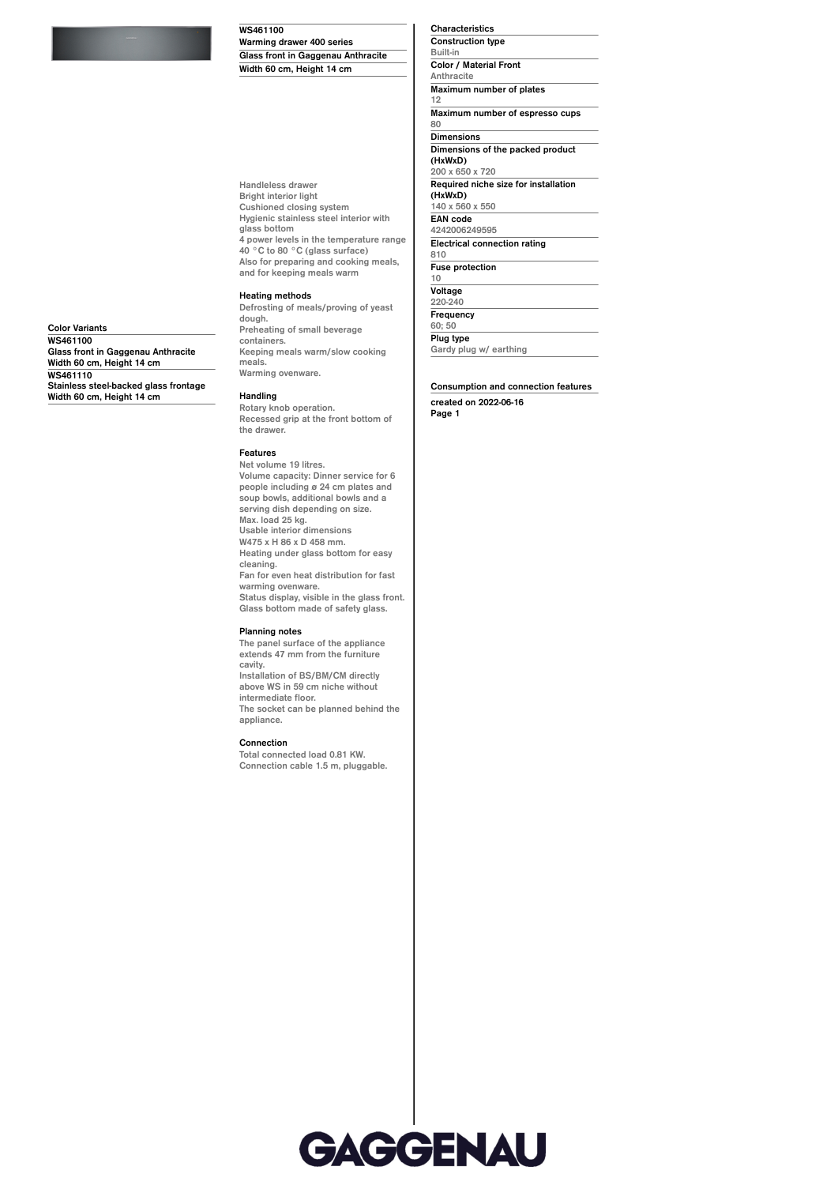#### **WS461100**

**Warming drawer 400 series**

**Handleless drawer Bright interior light Cushioned closing system Hygienic stainless steel interior with glass bottom 4 power levels in the temperature range 40 °C to 80 °C (glass surface) Also for preparing and cooking meals, and for keeping meals warm**

# **Heating methods**

**Defrosting of meals/proving of yeast dough. Preheating of small beverage containers. Keeping meals warm/slow cooking meals. Warming ovenware.**

**Handling**

**Rotary knob operation. Recessed grip at the front bottom of the drawer.**

#### **Features**

**Net volume 19 litres. Volume capacity: Dinner service for 6 people including ø 24 cm plates and soup bowls, additional bowls and a serving dish depending on size. Max. load 25 kg. Usable interior dimensions W475 x H 86 x D 458 mm. Heating under glass bottom for easy cleaning. Fan for even heat distribution for fast warming ovenware. Status display, visible in the glass front. Glass bottom made of safety glass. Planning notes**

**The panel surface of the appliance extends 47 mm from the furniture cavity. Installation of BS/BM/CM directly above WS in 59 cm niche without intermediate floor.**

**The socket can be planned behind the appliance.**

**Connection**

**Total connected load 0.81 KW. Connection cable 1.5 m, pluggable.**

GAGGENAU

**Characteristics Construction type Built-in Color / Material Front Anthracite Maximum number of plates 12 Maximum number of espresso cups 80 Dimensions Dimensions of the packed product (HxWxD) 200 x 650 x 720 Required niche size for installation (HxWxD) 140 x 560 x 550 EAN code 4242006249595 Electrical connection rating 810 Fuse protection 10 Voltage 220-240 Frequency 60; 50 Plug type Gardy plug w/ earthing**

## **Consumption and connection features**

**created on 2022-06-16 Page 1**

**Glass front in Gaggenau Anthracite Width 60 cm, Height 14 cm**

**Color Variants WS461100 Glass front in Gaggenau Anthracite Width 60 cm, Height 14 cm WS461110 Stainless steel-backed glass frontage Width 60 cm, Height 14 cm**